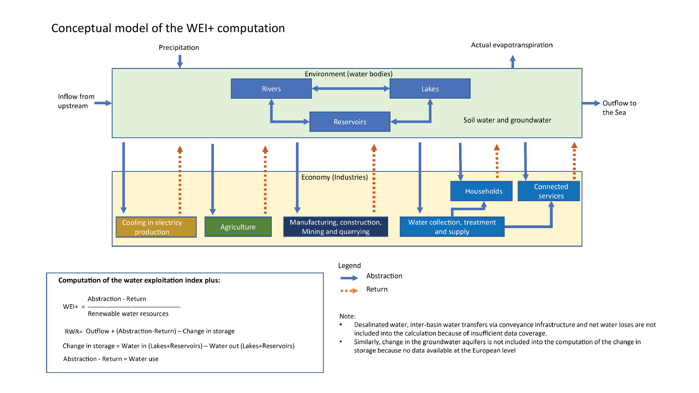## Conceptual model of the WEI+ computation





- Desalinated water, inter-basin water transfers via conveyance infrastructure and net water loses are not included into the calculation because of insufficient data coverage.
- Similarly, change in the groundwater aquifers is not included into the computation of the change in storage because no data available at the European level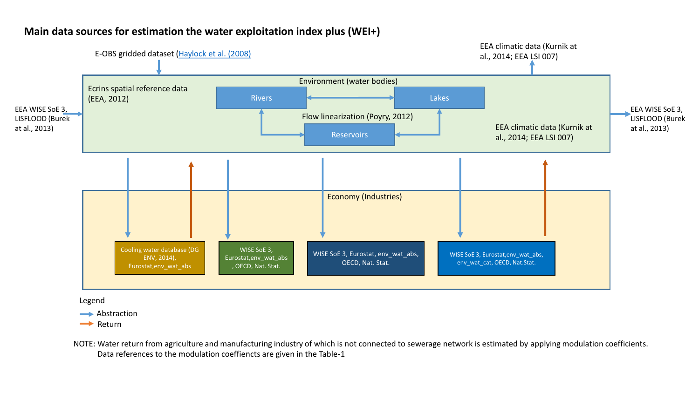

## **Main data sources for estimation the water exploitation index plus (WEI+)**

Legend

Abstraction

**Return** 

NOTE: Water return from agriculture and manufacturing industry of which is not connected to sewerage network is estimated by applying modulation coefficients. Data references to the modulation coeffiencts are given in the Table-1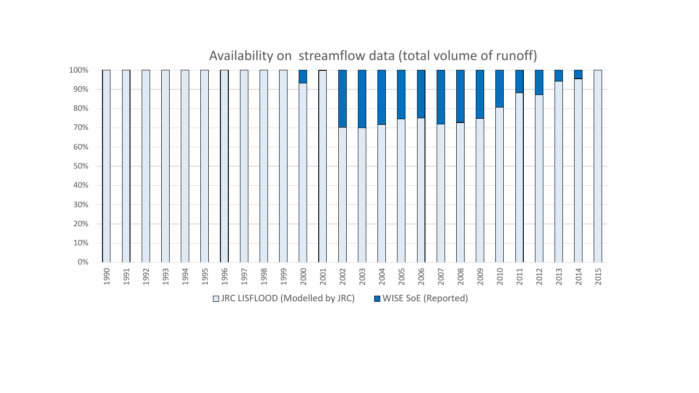

## Availability on streamflow data (total volume of runoff)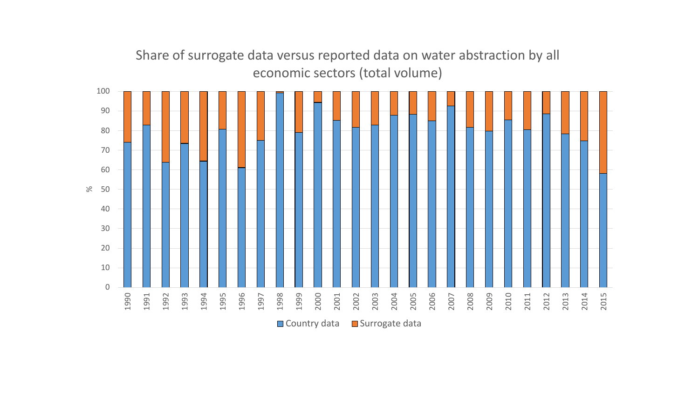